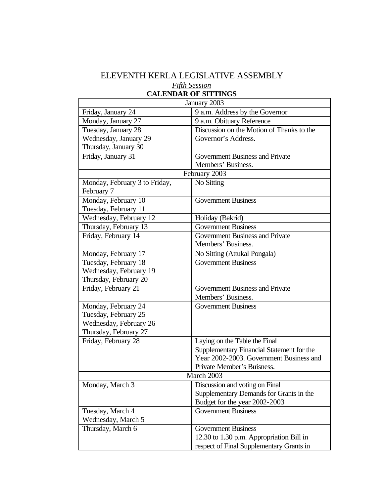## ELEVENTH KERLA LEGISLATIVE ASSEMBLY *Fifth Session* **CALENDAR OF SITTINGS**

| January 2003                  |                                           |  |
|-------------------------------|-------------------------------------------|--|
| Friday, January 24            | 9 a.m. Address by the Governor            |  |
| Monday, January 27            | 9 a.m. Obituary Reference                 |  |
| Tuesday, January 28           | Discussion on the Motion of Thanks to the |  |
| Wednesday, January 29         | Governor's Address.                       |  |
| Thursday, January 30          |                                           |  |
| Friday, January 31            | <b>Government Business and Private</b>    |  |
|                               | Members' Business.                        |  |
| February 2003                 |                                           |  |
| Monday, February 3 to Friday, | No Sitting                                |  |
| February 7                    |                                           |  |
| Monday, February 10           | <b>Government Business</b>                |  |
| Tuesday, February 11          |                                           |  |
| Wednesday, February 12        | Holiday (Bakrid)                          |  |
| Thursday, February 13         | <b>Government Business</b>                |  |
| Friday, February 14           | Government Business and Private           |  |
|                               | Members' Business.                        |  |
| Monday, February 17           | No Sitting (Attukal Pongala)              |  |
| Tuesday, February 18          | <b>Government Business</b>                |  |
| Wednesday, February 19        |                                           |  |
| Thursday, February 20         |                                           |  |
| Friday, February 21           | <b>Government Business and Private</b>    |  |
|                               | Members' Business.                        |  |
| Monday, February 24           | <b>Government Business</b>                |  |
| Tuesday, February 25          |                                           |  |
| Wednesday, February 26        |                                           |  |
| Thursday, February 27         |                                           |  |
| Friday, February 28           | Laying on the Table the Final             |  |
|                               | Supplementary Financial Statement for the |  |
|                               | Year 2002-2003. Government Business and   |  |
|                               | Private Member's Buisness.                |  |
| March 2003                    |                                           |  |
| Monday, March 3               | Discussion and voting on Final            |  |
|                               | Supplementary Demands for Grants in the   |  |
|                               | Budget for the year 2002-2003             |  |
| Tuesday, March 4              | <b>Government Business</b>                |  |
| Wednesday, March 5            |                                           |  |
| Thursday, March 6             | <b>Government Business</b>                |  |
|                               | 12.30 to 1.30 p.m. Appropriation Bill in  |  |
|                               | respect of Final Supplementary Grants in  |  |